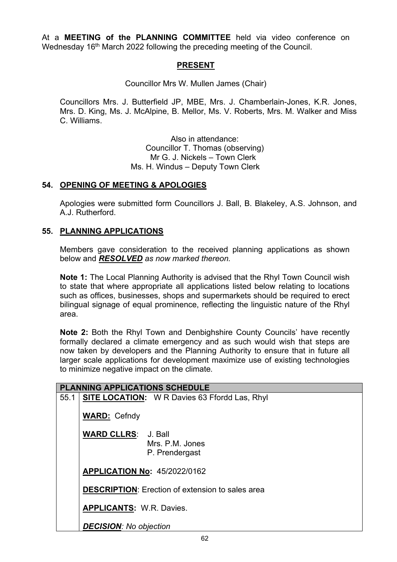At a **MEETING of the PLANNING COMMITTEE** held via video conference on Wednesday 16<sup>th</sup> March 2022 following the preceding meeting of the Council.

## **PRESENT**

Councillor Mrs W. Mullen James (Chair)

Councillors Mrs. J. Butterfield JP, MBE, Mrs. J. Chamberlain-Jones, K.R. Jones, Mrs. D. King, Ms. J. McAlpine, B. Mellor, Ms. V. Roberts, Mrs. M. Walker and Miss C. Williams.

> Also in attendance: Councillor T. Thomas (observing) Mr G. J. Nickels – Town Clerk Ms. H. Windus – Deputy Town Clerk

## **54. OPENING OF MEETING & APOLOGIES**

Apologies were submitted form Councillors J. Ball, B. Blakeley, A.S. Johnson, and A.J. Rutherford.

## **55. PLANNING APPLICATIONS**

Members gave consideration to the received planning applications as shown below and *RESOLVED as now marked thereon.* 

**Note 1:** The Local Planning Authority is advised that the Rhyl Town Council wish to state that where appropriate all applications listed below relating to locations such as offices, businesses, shops and supermarkets should be required to erect bilingual signage of equal prominence, reflecting the linguistic nature of the Rhyl area.

**Note 2:** Both the Rhyl Town and Denbighshire County Councils' have recently formally declared a climate emergency and as such would wish that steps are now taken by developers and the Planning Authority to ensure that in future all larger scale applications for development maximize use of existing technologies to minimize negative impact on the climate*.*

| <b>PLANNING APPLICATIONS SCHEDULE</b> |                                                                                                |  |  |
|---------------------------------------|------------------------------------------------------------------------------------------------|--|--|
| 55.1                                  | <b>SITE LOCATION:</b> W R Davies 63 Ffordd Las, Rhyl                                           |  |  |
|                                       | <b>WARD: Cefndy</b>                                                                            |  |  |
|                                       | <b>WARD CLLRS: J. Ball</b><br>Mrs. P.M. Jones<br>P. Prendergast                                |  |  |
|                                       | <b>APPLICATION No: 45/2022/0162</b><br><b>DESCRIPTION:</b> Erection of extension to sales area |  |  |
|                                       |                                                                                                |  |  |
|                                       | <b>APPLICANTS: W.R. Davies.</b>                                                                |  |  |
|                                       | <b>DECISION: No objection</b>                                                                  |  |  |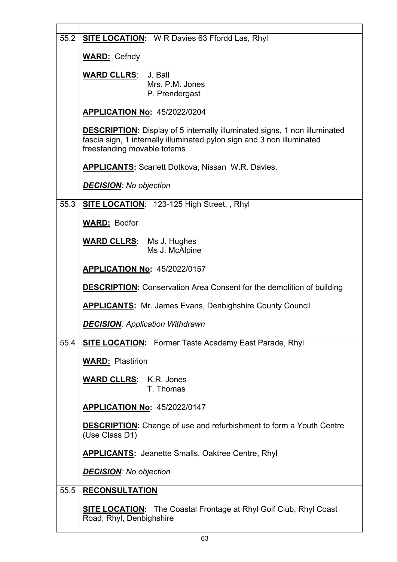| 55.2 | <b>SITE LOCATION:</b> W R Davies 63 Ffordd Las, Rhyl                                                                                                                                      |
|------|-------------------------------------------------------------------------------------------------------------------------------------------------------------------------------------------|
|      | <b>WARD: Cefndy</b>                                                                                                                                                                       |
|      | <b>WARD CLLRS: J. Ball</b><br>Mrs. P.M. Jones<br>P. Prendergast                                                                                                                           |
|      | <b>APPLICATION No: 45/2022/0204</b>                                                                                                                                                       |
|      | <b>DESCRIPTION:</b> Display of 5 internally illuminated signs, 1 non illuminated<br>fascia sign, 1 internally illuminated pylon sign and 3 non illuminated<br>freestanding movable totems |
|      | <b>APPLICANTS: Scarlett Dotkova, Nissan W.R. Davies.</b>                                                                                                                                  |
|      | <b>DECISION:</b> No objection                                                                                                                                                             |
| 55.3 | <b>SITE LOCATION: 123-125 High Street, , Rhyl</b>                                                                                                                                         |
|      | <b>WARD: Bodfor</b>                                                                                                                                                                       |
|      | <b>WARD CLLRS:</b> Ms J. Hughes<br>Ms J. McAlpine                                                                                                                                         |
|      | <b>APPLICATION No: 45/2022/0157</b>                                                                                                                                                       |
|      | <b>DESCRIPTION:</b> Conservation Area Consent for the demolition of building                                                                                                              |
|      |                                                                                                                                                                                           |
|      | <b>APPLICANTS:</b> Mr. James Evans, Denbighshire County Council                                                                                                                           |
|      | <b>DECISION: Application Withdrawn</b>                                                                                                                                                    |
| 55.4 | <b>SITE LOCATION:</b> Former Taste Academy East Parade, Rhyl                                                                                                                              |
|      | <b>WARD: Plastirion</b>                                                                                                                                                                   |
|      | <b>WARD CLLRS: K.R. Jones</b><br>T. Thomas                                                                                                                                                |
|      | <b>APPLICATION No: 45/2022/0147</b>                                                                                                                                                       |
|      | <b>DESCRIPTION:</b> Change of use and refurbishment to form a Youth Centre<br>(Use Class D1)                                                                                              |
|      | <b>APPLICANTS:</b> Jeanette Smalls, Oaktree Centre, Rhyl                                                                                                                                  |
|      | <b>DECISION:</b> No objection                                                                                                                                                             |
| 55.5 | <b>RECONSULTATION</b>                                                                                                                                                                     |